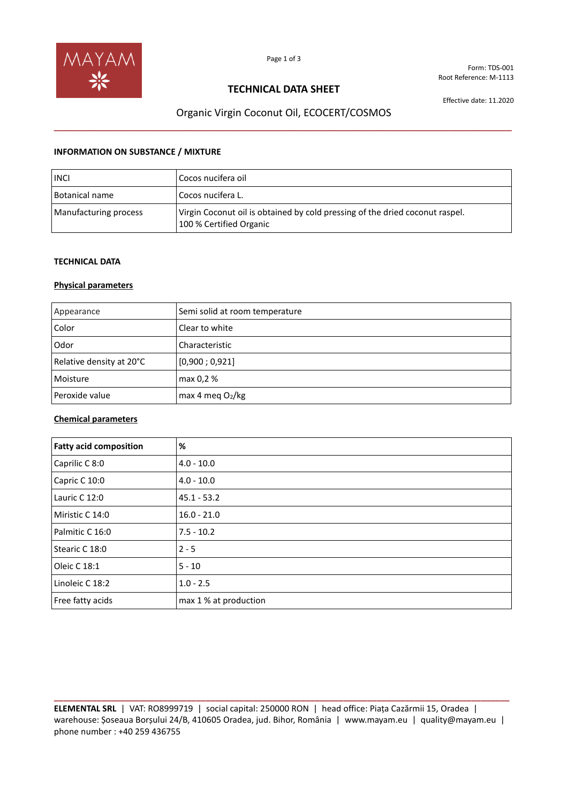

Form: TDS-001 Root Reference: M-1113

## **TECHNICAL DATA SHEET**

Effective date: 11.2020

# Organic Virgin Coconut Oil, ECOCERT/COSMOS **\_\_\_\_\_\_\_\_\_\_\_\_\_\_\_\_\_\_\_\_\_\_\_\_\_\_\_\_\_\_\_\_\_\_\_\_\_\_\_\_\_\_\_\_\_\_\_\_\_\_\_\_\_\_\_\_\_\_\_\_\_\_\_\_\_\_\_\_\_\_\_\_\_\_\_\_\_\_\_\_**

#### **INFORMATION ON SUBSTANCE / MIXTURE**

| <b>INCI</b>           | Cocos nucifera oil                                                                                      |
|-----------------------|---------------------------------------------------------------------------------------------------------|
| <b>Botanical name</b> | Cocos nucifera L.                                                                                       |
| Manufacturing process | Virgin Coconut oil is obtained by cold pressing of the dried coconut raspel.<br>100 % Certified Organic |

### **TECHNICAL DATA**

### **Physical parameters**

| Appearance               | Semi solid at room temperature |
|--------------------------|--------------------------------|
| Color                    | Clear to white                 |
| Odor                     | Characteristic                 |
| Relative density at 20°C | [0,900; 0,921]                 |
| Moisture                 | max 0,2 %                      |
| Peroxide value           | max 4 meg $O_2/kg$             |

### **Chemical parameters**

| <b>Fatty acid composition</b> | %                     |
|-------------------------------|-----------------------|
| Caprilic C 8:0                | $4.0 - 10.0$          |
| Capric C 10:0                 | $4.0 - 10.0$          |
| Lauric C 12:0                 | $45.1 - 53.2$         |
| Miristic C 14:0               | $16.0 - 21.0$         |
| Palmitic C 16:0               | $7.5 - 10.2$          |
| Stearic C 18:0                | $2 - 5$               |
| Oleic C 18:1                  | $5 - 10$              |
| Linoleic C 18:2               | $1.0 - 2.5$           |
| Free fatty acids              | max 1 % at production |

**\_\_\_\_\_\_\_\_\_\_\_\_\_\_\_\_\_\_\_\_\_\_\_\_\_\_\_\_\_\_\_\_\_\_\_\_\_\_\_\_\_\_\_\_\_\_\_\_\_\_\_\_\_\_\_\_\_\_\_\_\_\_\_\_\_\_\_\_\_\_\_\_\_\_\_\_\_\_\_\_\_\_\_\_\_\_\_\_\_\_\_\_\_\_\_\_ ELEMENTAL SRL** | VAT: RO8999719 | social capital: 250000 RON | head office: Piața Cazărmii 15, Oradea | warehouse: Șoseaua Borșului 24/B, 410605 Oradea, jud. Bihor, România | www.mayam.eu | quality@mayam.eu | phone number : +40 259 436755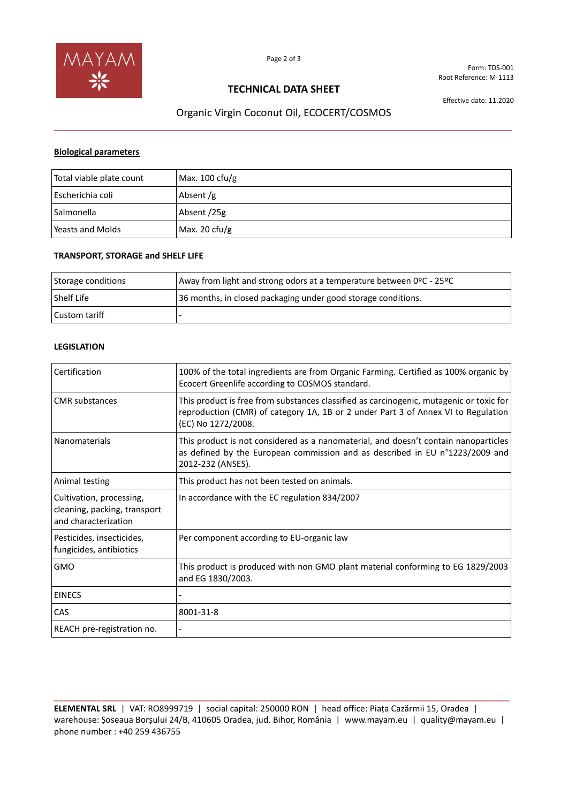

Form: TDS-001 Root Reference: M-1113

## **TECHNICAL DATA SHEET**

Effective date: 11.2020

# Organic Virgin Coconut Oil, ECOCERT/COSMOS **\_\_\_\_\_\_\_\_\_\_\_\_\_\_\_\_\_\_\_\_\_\_\_\_\_\_\_\_\_\_\_\_\_\_\_\_\_\_\_\_\_\_\_\_\_\_\_\_\_\_\_\_\_\_\_\_\_\_\_\_\_\_\_\_\_\_\_\_\_\_\_\_\_\_\_\_\_\_\_\_**

#### **Biological parameters**

| Total viable plate count | Max. $100 \text{ cfu/g}$ |
|--------------------------|--------------------------|
| Escherichia coli         | Absent $/g$              |
| Salmonella               | Absent /25g              |
| Yeasts and Molds         | Max. 20 $ctu/g$          |

### **TRANSPORT, STORAGE and SHELF LIFE**

| Storage conditions | Away from light and strong odors at a temperature between 0ºC - 25ºC |
|--------------------|----------------------------------------------------------------------|
| l Shelf Life       | 36 months, in closed packaging under good storage conditions.        |
| l Custom tariff    |                                                                      |

### **LEGISLATION**

| Certification                                                                    | 100% of the total ingredients are from Organic Farming. Certified as 100% organic by<br>Ecocert Greenlife according to COSMOS standard.                                                            |
|----------------------------------------------------------------------------------|----------------------------------------------------------------------------------------------------------------------------------------------------------------------------------------------------|
| <b>CMR</b> substances                                                            | This product is free from substances classified as carcinogenic, mutagenic or toxic for<br>reproduction (CMR) of category 1A, 1B or 2 under Part 3 of Annex VI to Regulation<br>(EC) No 1272/2008. |
| Nanomaterials                                                                    | This product is not considered as a nanomaterial, and doesn't contain nanoparticles<br>as defined by the European commission and as described in EU n°1223/2009 and<br>2012-232 (ANSES).           |
| Animal testing                                                                   | This product has not been tested on animals.                                                                                                                                                       |
| Cultivation, processing,<br>cleaning, packing, transport<br>and characterization | In accordance with the EC regulation 834/2007                                                                                                                                                      |
| Pesticides, insecticides,<br>fungicides, antibiotics                             | Per component according to EU-organic law                                                                                                                                                          |
| <b>GMO</b>                                                                       | This product is produced with non GMO plant material conforming to EG 1829/2003<br>and EG 1830/2003.                                                                                               |
| <b>EINECS</b>                                                                    |                                                                                                                                                                                                    |
| CAS                                                                              | 8001-31-8                                                                                                                                                                                          |
| REACH pre-registration no.                                                       |                                                                                                                                                                                                    |

**ELEMENTAL SRL** | VAT: RO8999719 | social capital: 250000 RON | head office: Piața Cazărmii 15, Oradea | warehouse: Șoseaua Borșului 24/B, 410605 Oradea, jud. Bihor, România | www.mayam.eu | quality@mayam.eu | phone number : +40 259 436755

**\_\_\_\_\_\_\_\_\_\_\_\_\_\_\_\_\_\_\_\_\_\_\_\_\_\_\_\_\_\_\_\_\_\_\_\_\_\_\_\_\_\_\_\_\_\_\_\_\_\_\_\_\_\_\_\_\_\_\_\_\_\_\_\_\_\_\_\_\_\_\_\_\_\_\_\_\_\_\_\_\_\_\_\_\_\_\_\_\_\_\_\_\_\_\_\_**